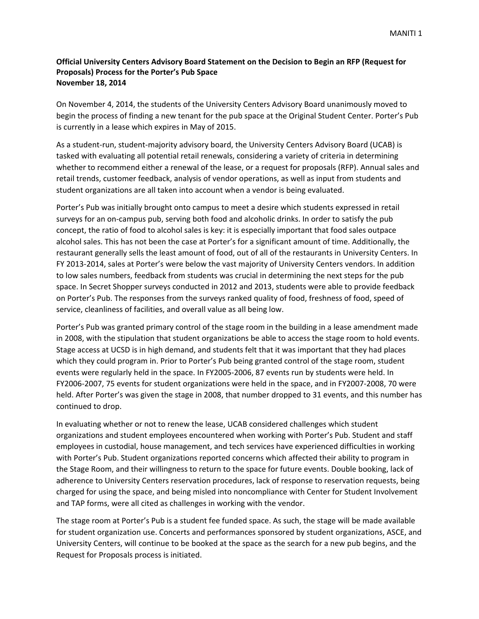## **Official University Centers Advisory Board Statement on the Decision to Begin an RFP (Request for Proposals) Process for the Porter's Pub Space November 18, 2014**

On November 4, 2014, the students of the University Centers Advisory Board unanimously moved to begin the process of finding a new tenant for the pub space at the Original Student Center. Porter's Pub is currently in a lease which expires in May of 2015.

As a student‐run, student‐majority advisory board, the University Centers Advisory Board (UCAB) is tasked with evaluating all potential retail renewals, considering a variety of criteria in determining whether to recommend either a renewal of the lease, or a request for proposals (RFP). Annual sales and retail trends, customer feedback, analysis of vendor operations, as well as input from students and student organizations are all taken into account when a vendor is being evaluated.

Porter's Pub was initially brought onto campus to meet a desire which students expressed in retail surveys for an on‐campus pub, serving both food and alcoholic drinks. In order to satisfy the pub concept, the ratio of food to alcohol sales is key: it is especially important that food sales outpace alcohol sales. This has not been the case at Porter's for a significant amount of time. Additionally, the restaurant generally sells the least amount of food, out of all of the restaurants in University Centers. In FY 2013‐2014, sales at Porter's were below the vast majority of University Centers vendors. In addition to low sales numbers, feedback from students was crucial in determining the next steps for the pub space. In Secret Shopper surveys conducted in 2012 and 2013, students were able to provide feedback on Porter's Pub. The responses from the surveys ranked quality of food, freshness of food, speed of service, cleanliness of facilities, and overall value as all being low.

Porter's Pub was granted primary control of the stage room in the building in a lease amendment made in 2008, with the stipulation that student organizations be able to access the stage room to hold events. Stage access at UCSD is in high demand, and students felt that it was important that they had places which they could program in. Prior to Porter's Pub being granted control of the stage room, student events were regularly held in the space. In FY2005‐2006, 87 events run by students were held. In FY2006‐2007, 75 events for student organizations were held in the space, and in FY2007‐2008, 70 were held. After Porter's was given the stage in 2008, that number dropped to 31 events, and this number has continued to drop.

In evaluating whether or not to renew the lease, UCAB considered challenges which student organizations and student employees encountered when working with Porter's Pub. Student and staff employees in custodial, house management, and tech services have experienced difficulties in working with Porter's Pub. Student organizations reported concerns which affected their ability to program in the Stage Room, and their willingness to return to the space for future events. Double booking, lack of adherence to University Centers reservation procedures, lack of response to reservation requests, being charged for using the space, and being misled into noncompliance with Center for Student Involvement and TAP forms, were all cited as challenges in working with the vendor.

The stage room at Porter's Pub is a student fee funded space. As such, the stage will be made available for student organization use. Concerts and performances sponsored by student organizations, ASCE, and University Centers, will continue to be booked at the space as the search for a new pub begins, and the Request for Proposals process is initiated.